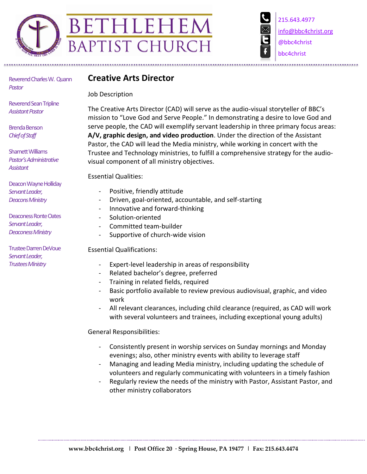

215.643.4977 info@bbc4christ.org @bbc4christ bbc4christ

Reverend Charles W. Quann *Pastor*

Reverend Sean Tripline **Assistant Pastor** 

Brenda Benson *Chief of Staff*

Sharnett Williams *Pastor's Administrative Assistant*

Deacon Wayne Holliday *Servant Leader, Deacons Ministry*

Deaconess Ronte Oates *Servant Leader, Deaconess Ministry*

TrusteeDarren DeVoue *Servant Leader, Trustees Ministry*

## **Creative Arts Director**

Job Description

The Creative Arts Director (CAD) will serve as the audio-visual storyteller of BBC's mission to "Love God and Serve People." In demonstrating a desire to love God and serve people, the CAD will exemplify servant leadership in three primary focus areas: **A/V, graphic design, and video production**. Under the direction of the Assistant Pastor, the CAD will lead the Media ministry, while working in concert with the Trustee and Technology ministries, to fulfill a comprehensive strategy for the audiovisual component of all ministry objectives.

Essential Qualities:

- Positive, friendly attitude
- Driven, goal-oriented, accountable, and self-starting
- Innovative and forward-thinking
- Solution-oriented
- Committed team-builder
- Supportive of church-wide vision

Essential Qualifications:

- Expert-level leadership in areas of responsibility
- Related bachelor's degree, preferred
- Training in related fields, required
- Basic portfolio available to review previous audiovisual, graphic, and video work
- All relevant clearances, including child clearance (required, as CAD will work with several volunteers and trainees, including exceptional young adults)

General Responsibilities:

- Consistently present in worship services on Sunday mornings and Monday evenings; also, other ministry events with ability to leverage staff
- Managing and leading Media ministry, including updating the schedule of volunteers and regularly communicating with volunteers in a timely fashion
- Regularly review the needs of the ministry with Pastor, Assistant Pastor, and other ministry collaborators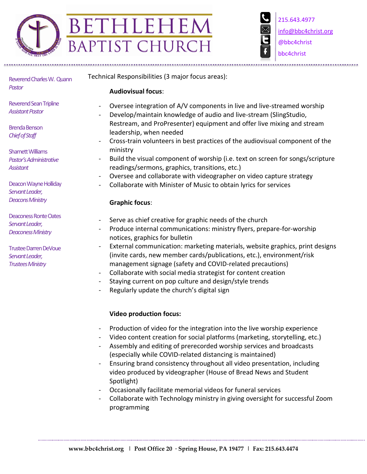

215.643.4977 info@bbc4christ.org @bbc4christ bbc4christ

Reverend Charles W. Quann *Pastor*

Reverend Sean Tripline **Assistant Pastor** 

Brenda Benson *Chief of Staff*

Sharnett Williams *Pastor's Administrative Assistant*

Deacon Wayne Holliday *Servant Leader, Deacons Ministry*

Deaconess Ronte Oates *Servant Leader, Deaconess Ministry*

TrusteeDarren DeVoue *Servant Leader, Trustees Ministry*

Technical Responsibilities (3 major focus areas):

**Audiovisual focus**:

- Oversee integration of A/V components in live and live-streamed worship
- Develop/maintain knowledge of audio and live-stream (SlingStudio, Restream, and ProPresenter) equipment and offer live mixing and stream leadership, when needed
- Cross-train volunteers in best practices of the audiovisual component of the ministry
- Build the visual component of worship (i.e. text on screen for songs/scripture readings/sermons, graphics, transitions, etc.)
- Oversee and collaborate with videographer on video capture strategy
- Collaborate with Minister of Music to obtain lyrics for services

## **Graphic focus**:

- Serve as chief creative for graphic needs of the church
- Produce internal communications: ministry flyers, prepare-for-worship notices, graphics for bulletin
- External communication: marketing materials, website graphics, print designs (invite cards, new member cards/publications, etc.), environment/risk management signage (safety and COVID-related precautions)
- Collaborate with social media strategist for content creation
- Staying current on pop culture and design/style trends
- Regularly update the church's digital sign

## **Video production focus:**

- Production of video for the integration into the live worship experience
- Video content creation for social platforms (marketing, storytelling, etc.)
- Assembly and editing of prerecorded worship services and broadcasts (especially while COVID-related distancing is maintained)
- Ensuring brand consistency throughout all video presentation, including video produced by videographer (House of Bread News and Student Spotlight)
- Occasionally facilitate memorial videos for funeral services
- Collaborate with Technology ministry in giving oversight for successful Zoom programming